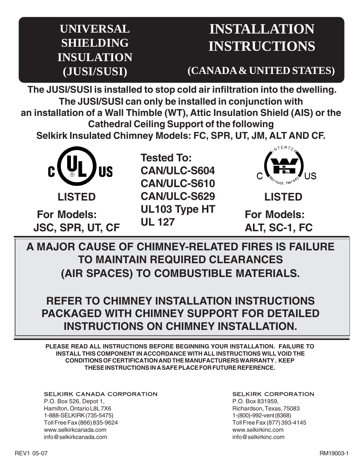## **UNIVERSAL SHIELDING INSULATION (JUSI/SUSI)**

# **INSTALLATION INSTRUCTIONS**

**(CANADA & UNITED STATES)**

**The JUSI/SUSI is installed to stop cold air infiltration into the dwelling. The JUSI/SUSI can only be installed in conjunction with an installation of a Wall Thimble (WT), Attic Insulation Shield (AIS) or the Cathedral Ceiling Support of the following**

**Selkirk Insulated Chimney Models: FC, SPR, UT, JM, ALT AND CF.**



**Tested To: CAN/ULC-S604 CAN/ULC-S610 CAN/ULC-S629 UL103 Type HT UL 127 For Models: For Models:**



**LISTED**

**JSC, SPR, UT, CF ALT, SC-1, FC** 

**A MAJOR CAUSE OF CHIMNEY-RELATED FIRES IS FAILURE TO MAINTAIN REQUIRED CLEARANCES (AIR SPACES) TO COMBUSTIBLE MATERIALS.**

**REFER TO CHIMNEY INSTALLATION INSTRUCTIONS PACKAGED WITH CHIMNEY SUPPORT FOR DETAILED INSTRUCTIONS ON CHIMNEY INSTALLATION.**

**PLEASE READ ALL INSTRUCTIONS BEFORE BEGINNING YOUR INSTALLATION. FAILURE TO INSTALL THIS COMPONENT IN ACCORDANCE WITH ALL INSTRUCTIONS WILL VOID THE CONDITIONS OF CERTIFICATION AND THE MANUFACTURERS WARRANTY . KEEP THESE INSTRUCTIONS IN A SAFE PLACE FOR FUTURE REFERENCE.**

SELKIRK CANADA CORPORATION P.O. Box 526, Depot 1, Hamilton, Ontario L8L 7X6 1-888-SELKIRK (735-5475) Toll Free Fax (866) 835-9624 www.selkirkcanada.com info@selkirkcanada.com

SELKIRK CORPORATION P.O. Box 831959, Richardson, Texas, 75083 1-(800)-992-vent (8368) Toll Free Fax (877) 393-4145 www.selkirkinc.com info@selkirkinc.com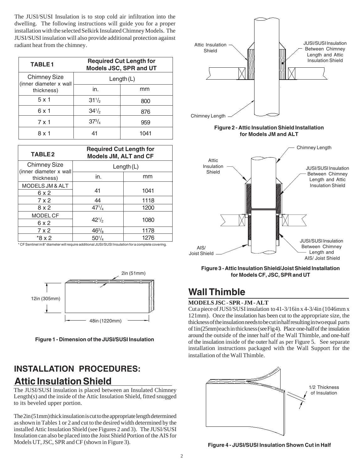The JUSI/SUSI Insulation is to stop cold air infiltration into the dwelling. The following instructions will guide you for a proper installation with the selected Selkirk Insulated Chimney Models. The JUSI/SUSI insulation will also provide additional protection against radiant heat from the chimney.

| <b>TABLE1</b>                                 | <b>Required Cut Length for</b><br>Models JSC, SPR and UT |      |
|-----------------------------------------------|----------------------------------------------------------|------|
| <b>Chimney Size</b><br>(inner diameter x wall | Length $(L)$                                             |      |
| thickness)                                    | in.                                                      | mm   |
| $5 \times 1$                                  | $31^{1/2}$                                               | 800  |
| 6 x 1                                         | $34\frac{1}{2}$                                          | 876  |
| 7 x 1                                         | $37^{3}/_{4}$                                            | 959  |
| 8 x 1                                         |                                                          | 1041 |

| <b>TABLE2</b>                        | <b>Required Cut Length for</b><br><b>Models JM, ALT and CF</b> |      |
|--------------------------------------|----------------------------------------------------------------|------|
| <b>Chimney Size</b>                  | Length $(L)$                                                   |      |
| (inner diameter x wall<br>thickness) | in.                                                            | mm   |
| MODELS JM & ALT<br>6 x 2             | 41                                                             | 1041 |
| 7 x 2                                | 44                                                             | 1118 |
| 8x2                                  | $47^{1}/_4$                                                    | 1200 |
| <b>MODEL CF</b>                      | $42^{1/2}$                                                     | 1080 |
| 6 x 2                                |                                                                |      |
| 7 x 2                                | $46\frac{3}{8}$                                                | 1178 |
| $*8x2$                               | $50^{1}/_{4}$                                                  | 1276 |

\* CF Sentinel in 8" diameter will require additional JUSI/SUSI Insulation for a complete covering.



**Figure 1 - Dimension of the JUSI/SUSI Insulation**

#### **INSTALLATION PROCEDURES: Attic Insulation Shield**

The JUSI/SUSI insulation is placed between an Insulated Chimney Length(s) and the inside of the Attic Insulation Shield, fitted snugged to its beveled upper portion.

The 2in (51mm) thick insulation is cut to the appropriate length determined as shown in Tables 1 or 2 and cut to the desired width determined by the installed Attic Insulation Shield (see Figures 2 and 3). The JUSI/SUSI Insulation can also be placed into the Joist Shield Portion of the AIS for Models UT, JSC, SPR and CF (shown in Figure 3).



**Figure 3 - Attic Insulation Shield/Joist Shield Installation for Models CF, JSC, SPR and UT** 2in (51mm)

#### **Wall Thimble**

#### **MODELS JSC - SPR - JM - ALT**

Cut a piece of JUSI/SUSI insulation to 41-3/16in x 4-3/4in (1046mm x 121mm). Once the insulation has been cut to the appropriate size, the thickness of the insulation needs to be cut in half resulting in two equal parts of 1in (25mm) each in thickness (see Fig 4). Place one-half of the insulation around the outside of the inner half of the Wall Thimble, and one-half of the insulation inside of the outer half as per Figure 5. See separate installation instructions packaged with the Wall Support for the installation of the Wall Thimble.



**Figure 4 - JUSI/SUSI Insulation Shown Cut in Half**